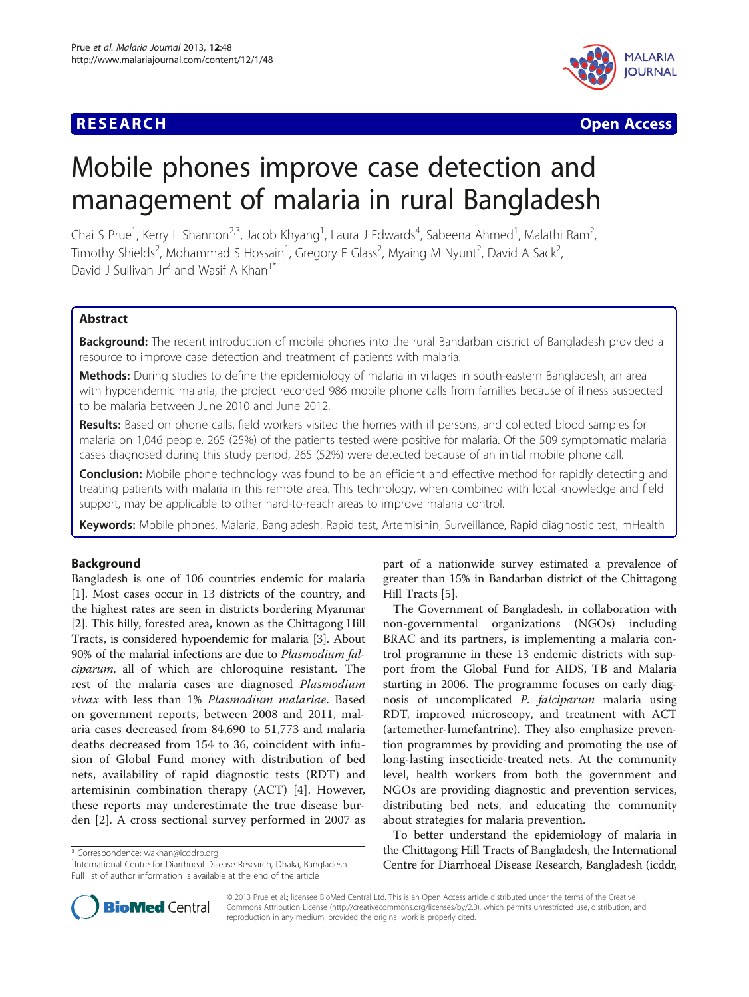## **RESEARCH CHEAR CHEAR CHEAR CHEAR CHEAR CHEAR CHEAR CHEAR CHEAR CHEAR CHEAR CHEAR CHEAR CHEAR CHEAR CHEAR CHEAR**



# Mobile phones improve case detection and management of malaria in rural Bangladesh

Chai S Prue<sup>1</sup>, Kerry L Shannon<sup>2,3</sup>, Jacob Khyang<sup>1</sup>, Laura J Edwards<sup>4</sup>, Sabeena Ahmed<sup>1</sup>, Malathi Ram<sup>2</sup> , Timothy Shields<sup>2</sup>, Mohammad S Hossain<sup>1</sup>, Gregory E Glass<sup>2</sup>, Myaing M Nyunt<sup>2</sup>, David A Sack<sup>2</sup> .<br>, David J Sullivan Jr<sup>2</sup> and Wasif A Khan<sup>1\*</sup>

## Abstract

**Background:** The recent introduction of mobile phones into the rural Bandarban district of Bangladesh provided a resource to improve case detection and treatment of patients with malaria.

Methods: During studies to define the epidemiology of malaria in villages in south-eastern Bangladesh, an area with hypoendemic malaria, the project recorded 986 mobile phone calls from families because of illness suspected to be malaria between June 2010 and June 2012.

Results: Based on phone calls, field workers visited the homes with ill persons, and collected blood samples for malaria on 1,046 people. 265 (25%) of the patients tested were positive for malaria. Of the 509 symptomatic malaria cases diagnosed during this study period, 265 (52%) were detected because of an initial mobile phone call.

**Conclusion:** Mobile phone technology was found to be an efficient and effective method for rapidly detecting and treating patients with malaria in this remote area. This technology, when combined with local knowledge and field support, may be applicable to other hard-to-reach areas to improve malaria control.

Keywords: Mobile phones, Malaria, Bangladesh, Rapid test, Artemisinin, Surveillance, Rapid diagnostic test, mHealth

## Background

Bangladesh is one of 106 countries endemic for malaria [[1\]](#page-6-0). Most cases occur in 13 districts of the country, and the highest rates are seen in districts bordering Myanmar [[2\]](#page-6-0). This hilly, forested area, known as the Chittagong Hill Tracts, is considered hypoendemic for malaria [[3\]](#page-6-0). About 90% of the malarial infections are due to Plasmodium falciparum, all of which are chloroquine resistant. The rest of the malaria cases are diagnosed Plasmodium vivax with less than 1% Plasmodium malariae. Based on government reports, between 2008 and 2011, malaria cases decreased from 84,690 to 51,773 and malaria deaths decreased from 154 to 36, coincident with infusion of Global Fund money with distribution of bed nets, availability of rapid diagnostic tests (RDT) and artemisinin combination therapy (ACT) [[4\]](#page-6-0). However, these reports may underestimate the true disease burden [[2\]](#page-6-0). A cross sectional survey performed in 2007 as

\* Correspondence: [wakhan@icddrb.org](mailto:wakhan@icddrb.org) <sup>1</sup>



The Government of Bangladesh, in collaboration with non-governmental organizations (NGOs) including BRAC and its partners, is implementing a malaria control programme in these 13 endemic districts with support from the Global Fund for AIDS, TB and Malaria starting in 2006. The programme focuses on early diagnosis of uncomplicated P. falciparum malaria using RDT, improved microscopy, and treatment with ACT (artemether-lumefantrine). They also emphasize prevention programmes by providing and promoting the use of long-lasting insecticide-treated nets. At the community level, health workers from both the government and NGOs are providing diagnostic and prevention services, distributing bed nets, and educating the community about strategies for malaria prevention.

To better understand the epidemiology of malaria in the Chittagong Hill Tracts of Bangladesh, the International Centre for Diarrhoeal Disease Research, Bangladesh (icddr,



© 2013 Prue et al.; licensee BioMed Central Ltd. This is an Open Access article distributed under the terms of the Creative Commons Attribution License [\(http://creativecommons.org/licenses/by/2.0\)](http://creativecommons.org/licenses/by/2.0), which permits unrestricted use, distribution, and reproduction in any medium, provided the original work is properly cited.

<sup>&</sup>lt;sup>1</sup>International Centre for Diarrhoeal Disease Research, Dhaka, Bangladesh Full list of author information is available at the end of the article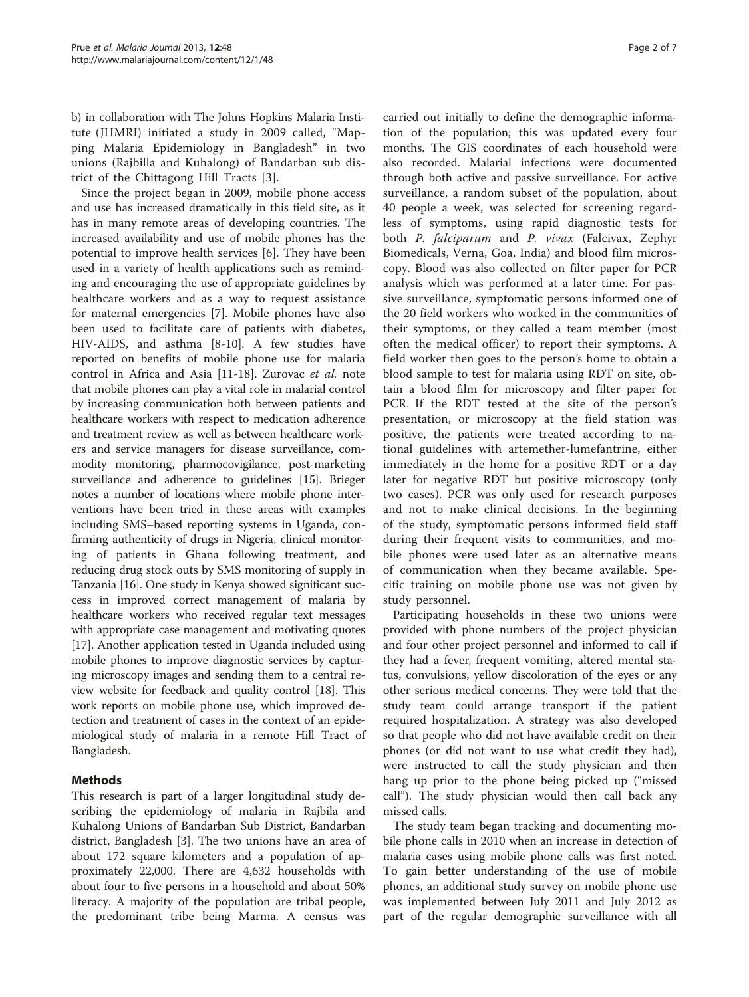b) in collaboration with The Johns Hopkins Malaria Institute (JHMRI) initiated a study in 2009 called, "Mapping Malaria Epidemiology in Bangladesh" in two unions (Rajbilla and Kuhalong) of Bandarban sub district of the Chittagong Hill Tracts [\[3](#page-6-0)].

Since the project began in 2009, mobile phone access and use has increased dramatically in this field site, as it has in many remote areas of developing countries. The increased availability and use of mobile phones has the potential to improve health services [[6\]](#page-6-0). They have been used in a variety of health applications such as reminding and encouraging the use of appropriate guidelines by healthcare workers and as a way to request assistance for maternal emergencies [[7\]](#page-6-0). Mobile phones have also been used to facilitate care of patients with diabetes, HIV-AIDS, and asthma [[8-10](#page-6-0)]. A few studies have reported on benefits of mobile phone use for malaria control in Africa and Asia [\[11-18](#page-6-0)]. Zurovac et al. note that mobile phones can play a vital role in malarial control by increasing communication both between patients and healthcare workers with respect to medication adherence and treatment review as well as between healthcare workers and service managers for disease surveillance, commodity monitoring, pharmocovigilance, post-marketing surveillance and adherence to guidelines [\[15\]](#page-6-0). Brieger notes a number of locations where mobile phone interventions have been tried in these areas with examples including SMS–based reporting systems in Uganda, confirming authenticity of drugs in Nigeria, clinical monitoring of patients in Ghana following treatment, and reducing drug stock outs by SMS monitoring of supply in Tanzania [\[16\]](#page-6-0). One study in Kenya showed significant success in improved correct management of malaria by healthcare workers who received regular text messages with appropriate case management and motivating quotes [[17](#page-6-0)]. Another application tested in Uganda included using mobile phones to improve diagnostic services by capturing microscopy images and sending them to a central review website for feedback and quality control [[18](#page-6-0)]. This work reports on mobile phone use, which improved detection and treatment of cases in the context of an epidemiological study of malaria in a remote Hill Tract of Bangladesh.

## Methods

This research is part of a larger longitudinal study describing the epidemiology of malaria in Rajbila and Kuhalong Unions of Bandarban Sub District, Bandarban district, Bangladesh [[3\]](#page-6-0). The two unions have an area of about 172 square kilometers and a population of approximately 22,000. There are 4,632 households with about four to five persons in a household and about 50% literacy. A majority of the population are tribal people, the predominant tribe being Marma. A census was

carried out initially to define the demographic information of the population; this was updated every four months. The GIS coordinates of each household were also recorded. Malarial infections were documented through both active and passive surveillance. For active surveillance, a random subset of the population, about 40 people a week, was selected for screening regardless of symptoms, using rapid diagnostic tests for both P. falciparum and P. vivax (Falcivax, Zephyr Biomedicals, Verna, Goa, India) and blood film microscopy. Blood was also collected on filter paper for PCR analysis which was performed at a later time. For passive surveillance, symptomatic persons informed one of the 20 field workers who worked in the communities of their symptoms, or they called a team member (most often the medical officer) to report their symptoms. A field worker then goes to the person's home to obtain a blood sample to test for malaria using RDT on site, obtain a blood film for microscopy and filter paper for PCR. If the RDT tested at the site of the person's presentation, or microscopy at the field station was positive, the patients were treated according to national guidelines with artemether-lumefantrine, either immediately in the home for a positive RDT or a day later for negative RDT but positive microscopy (only two cases). PCR was only used for research purposes and not to make clinical decisions. In the beginning of the study, symptomatic persons informed field staff during their frequent visits to communities, and mobile phones were used later as an alternative means of communication when they became available. Specific training on mobile phone use was not given by study personnel.

Participating households in these two unions were provided with phone numbers of the project physician and four other project personnel and informed to call if they had a fever, frequent vomiting, altered mental status, convulsions, yellow discoloration of the eyes or any other serious medical concerns. They were told that the study team could arrange transport if the patient required hospitalization. A strategy was also developed so that people who did not have available credit on their phones (or did not want to use what credit they had), were instructed to call the study physician and then hang up prior to the phone being picked up ("missed call"). The study physician would then call back any missed calls.

The study team began tracking and documenting mobile phone calls in 2010 when an increase in detection of malaria cases using mobile phone calls was first noted. To gain better understanding of the use of mobile phones, an additional study survey on mobile phone use was implemented between July 2011 and July 2012 as part of the regular demographic surveillance with all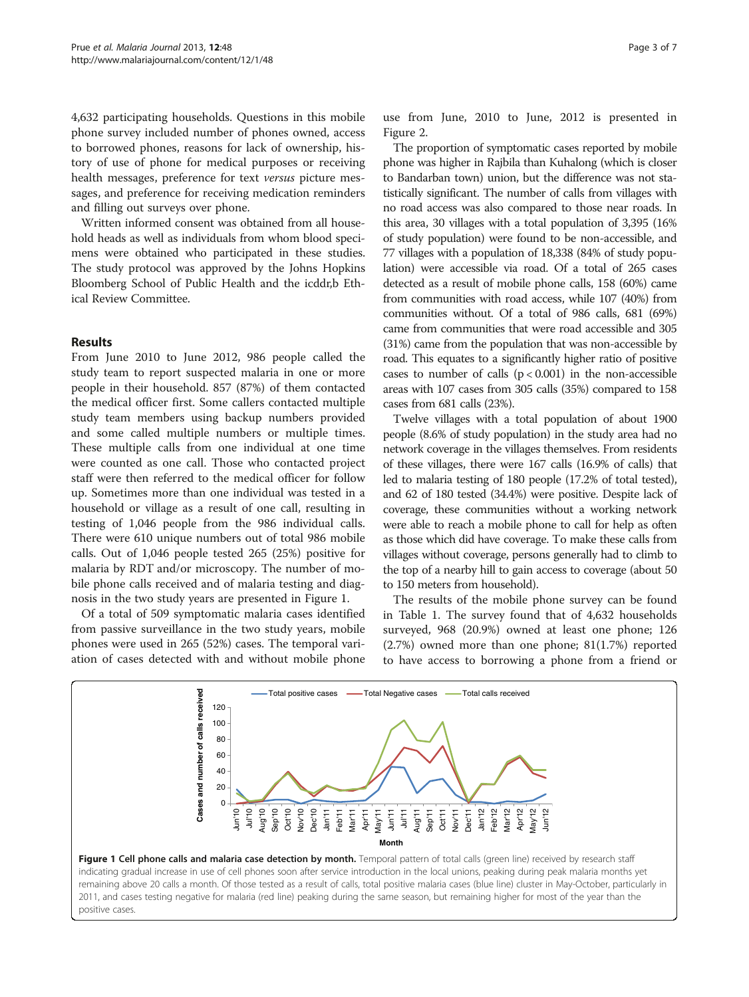4,632 participating households. Questions in this mobile phone survey included number of phones owned, access to borrowed phones, reasons for lack of ownership, history of use of phone for medical purposes or receiving health messages, preference for text versus picture messages, and preference for receiving medication reminders and filling out surveys over phone.

Written informed consent was obtained from all household heads as well as individuals from whom blood specimens were obtained who participated in these studies. The study protocol was approved by the Johns Hopkins Bloomberg School of Public Health and the icddr,b Ethical Review Committee.

## Results

From June 2010 to June 2012, 986 people called the study team to report suspected malaria in one or more people in their household. 857 (87%) of them contacted the medical officer first. Some callers contacted multiple study team members using backup numbers provided and some called multiple numbers or multiple times. These multiple calls from one individual at one time were counted as one call. Those who contacted project staff were then referred to the medical officer for follow up. Sometimes more than one individual was tested in a household or village as a result of one call, resulting in testing of 1,046 people from the 986 individual calls. There were 610 unique numbers out of total 986 mobile calls. Out of 1,046 people tested 265 (25%) positive for malaria by RDT and/or microscopy. The number of mobile phone calls received and of malaria testing and diagnosis in the two study years are presented in Figure 1.

Of a total of 509 symptomatic malaria cases identified from passive surveillance in the two study years, mobile phones were used in 265 (52%) cases. The temporal variation of cases detected with and without mobile phone

use from June, 2010 to June, 2012 is presented in Figure [2](#page-3-0).

The proportion of symptomatic cases reported by mobile phone was higher in Rajbila than Kuhalong (which is closer to Bandarban town) union, but the difference was not statistically significant. The number of calls from villages with no road access was also compared to those near roads. In this area, 30 villages with a total population of 3,395 (16% of study population) were found to be non-accessible, and 77 villages with a population of 18,338 (84% of study population) were accessible via road. Of a total of 265 cases detected as a result of mobile phone calls, 158 (60%) came from communities with road access, while 107 (40%) from communities without. Of a total of 986 calls, 681 (69%) came from communities that were road accessible and 305 (31%) came from the population that was non-accessible by road. This equates to a significantly higher ratio of positive cases to number of calls  $(p < 0.001)$  in the non-accessible areas with 107 cases from 305 calls (35%) compared to 158 cases from 681 calls (23%).

Twelve villages with a total population of about 1900 people (8.6% of study population) in the study area had no network coverage in the villages themselves. From residents of these villages, there were 167 calls (16.9% of calls) that led to malaria testing of 180 people (17.2% of total tested), and 62 of 180 tested (34.4%) were positive. Despite lack of coverage, these communities without a working network were able to reach a mobile phone to call for help as often as those which did have coverage. To make these calls from villages without coverage, persons generally had to climb to the top of a nearby hill to gain access to coverage (about 50 to 150 meters from household).

The results of the mobile phone survey can be found in Table [1](#page-3-0). The survey found that of 4,632 households surveyed, 968 (20.9%) owned at least one phone; 126 (2.7%) owned more than one phone; 81(1.7%) reported to have access to borrowing a phone from a friend or

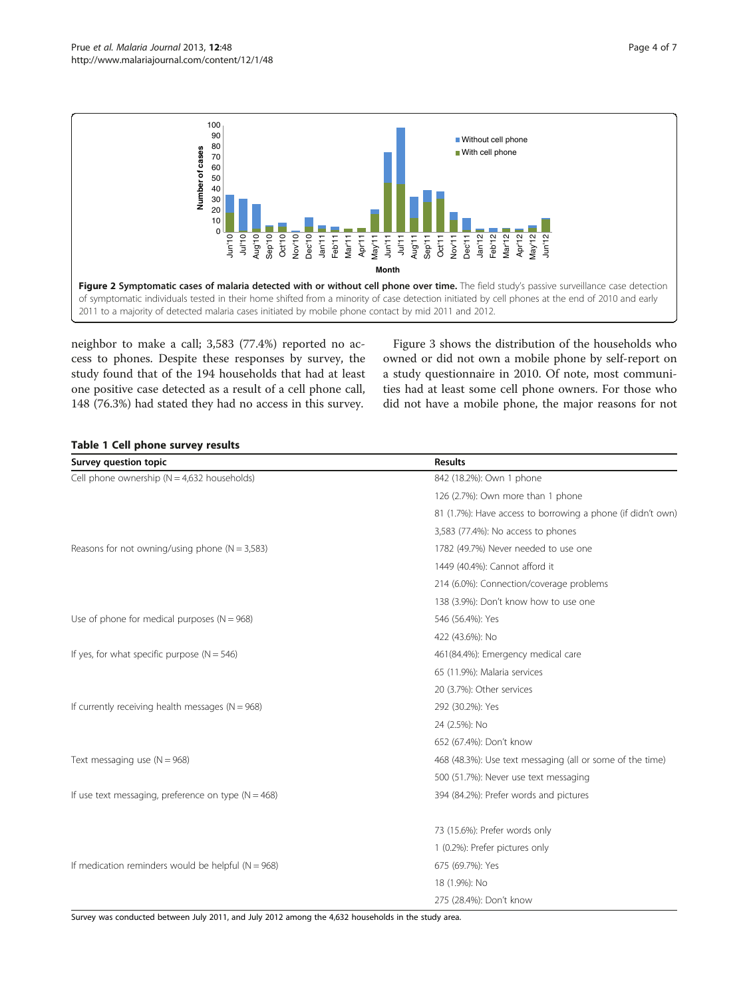<span id="page-3-0"></span>

neighbor to make a call; 3,583 (77.4%) reported no access to phones. Despite these responses by survey, the study found that of the 194 households that had at least one positive case detected as a result of a cell phone call, 148 (76.3%) had stated they had no access in this survey.

Figure [3](#page-4-0) shows the distribution of the households who owned or did not own a mobile phone by self-report on a study questionnaire in 2010. Of note, most communities had at least some cell phone owners. For those who did not have a mobile phone, the major reasons for not

## Table 1 Cell phone survey results

| Survey question topic                                  | <b>Results</b>                                              |
|--------------------------------------------------------|-------------------------------------------------------------|
| Cell phone ownership ( $N = 4,632$ households)         | 842 (18.2%): Own 1 phone                                    |
|                                                        | 126 (2.7%): Own more than 1 phone                           |
|                                                        | 81 (1.7%): Have access to borrowing a phone (if didn't own) |
|                                                        | 3,583 (77.4%): No access to phones                          |
| Reasons for not owning/using phone ( $N = 3,583$ )     | 1782 (49.7%) Never needed to use one                        |
|                                                        | 1449 (40.4%): Cannot afford it                              |
|                                                        | 214 (6.0%): Connection/coverage problems                    |
|                                                        | 138 (3.9%): Don't know how to use one                       |
| Use of phone for medical purposes ( $N = 968$ )        | 546 (56.4%): Yes                                            |
|                                                        | 422 (43.6%): No                                             |
| If yes, for what specific purpose $(N = 546)$          | 461(84.4%): Emergency medical care                          |
|                                                        | 65 (11.9%): Malaria services                                |
|                                                        | 20 (3.7%): Other services                                   |
| If currently receiving health messages ( $N = 968$ )   | 292 (30.2%): Yes                                            |
|                                                        | 24 (2.5%): No                                               |
|                                                        | 652 (67.4%): Don't know                                     |
| Text messaging use $(N = 968)$                         | 468 (48.3%): Use text messaging (all or some of the time)   |
|                                                        | 500 (51.7%): Never use text messaging                       |
| If use text messaging, preference on type $(N = 468)$  | 394 (84.2%): Prefer words and pictures                      |
|                                                        | 73 (15.6%): Prefer words only                               |
|                                                        | 1 (0.2%): Prefer pictures only                              |
| If medication reminders would be helpful ( $N = 968$ ) | 675 (69.7%): Yes                                            |
|                                                        | 18 (1.9%): No                                               |
|                                                        | 275 (28.4%): Don't know                                     |

Survey was conducted between July 2011, and July 2012 among the 4,632 households in the study area.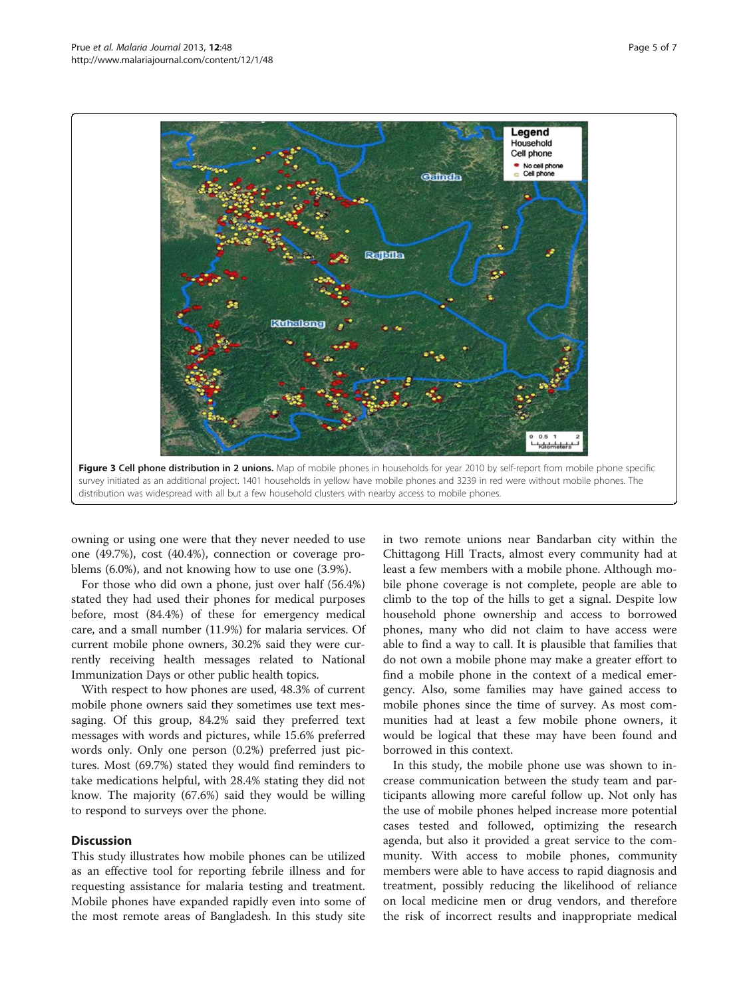<span id="page-4-0"></span>

owning or using one were that they never needed to use one (49.7%), cost (40.4%), connection or coverage problems (6.0%), and not knowing how to use one (3.9%).

For those who did own a phone, just over half (56.4%) stated they had used their phones for medical purposes before, most (84.4%) of these for emergency medical care, and a small number (11.9%) for malaria services. Of current mobile phone owners, 30.2% said they were currently receiving health messages related to National Immunization Days or other public health topics.

With respect to how phones are used, 48.3% of current mobile phone owners said they sometimes use text messaging. Of this group, 84.2% said they preferred text messages with words and pictures, while 15.6% preferred words only. Only one person (0.2%) preferred just pictures. Most (69.7%) stated they would find reminders to take medications helpful, with 28.4% stating they did not know. The majority (67.6%) said they would be willing to respond to surveys over the phone.

## **Discussion**

This study illustrates how mobile phones can be utilized as an effective tool for reporting febrile illness and for requesting assistance for malaria testing and treatment. Mobile phones have expanded rapidly even into some of the most remote areas of Bangladesh. In this study site

in two remote unions near Bandarban city within the Chittagong Hill Tracts, almost every community had at least a few members with a mobile phone. Although mobile phone coverage is not complete, people are able to climb to the top of the hills to get a signal. Despite low household phone ownership and access to borrowed phones, many who did not claim to have access were able to find a way to call. It is plausible that families that do not own a mobile phone may make a greater effort to find a mobile phone in the context of a medical emergency. Also, some families may have gained access to mobile phones since the time of survey. As most communities had at least a few mobile phone owners, it would be logical that these may have been found and borrowed in this context.

In this study, the mobile phone use was shown to increase communication between the study team and participants allowing more careful follow up. Not only has the use of mobile phones helped increase more potential cases tested and followed, optimizing the research agenda, but also it provided a great service to the community. With access to mobile phones, community members were able to have access to rapid diagnosis and treatment, possibly reducing the likelihood of reliance on local medicine men or drug vendors, and therefore the risk of incorrect results and inappropriate medical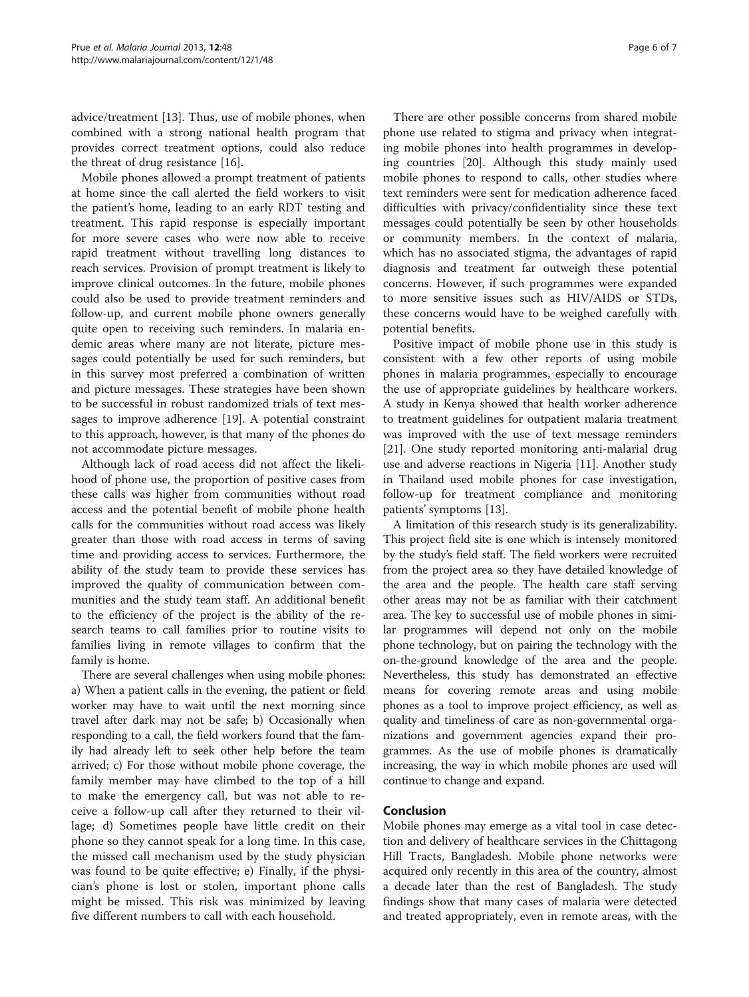advice/treatment [[13\]](#page-6-0). Thus, use of mobile phones, when combined with a strong national health program that provides correct treatment options, could also reduce the threat of drug resistance [\[16](#page-6-0)].

Mobile phones allowed a prompt treatment of patients at home since the call alerted the field workers to visit the patient's home, leading to an early RDT testing and treatment. This rapid response is especially important for more severe cases who were now able to receive rapid treatment without travelling long distances to reach services. Provision of prompt treatment is likely to improve clinical outcomes. In the future, mobile phones could also be used to provide treatment reminders and follow-up, and current mobile phone owners generally quite open to receiving such reminders. In malaria endemic areas where many are not literate, picture messages could potentially be used for such reminders, but in this survey most preferred a combination of written and picture messages. These strategies have been shown to be successful in robust randomized trials of text messages to improve adherence [[19\]](#page-6-0). A potential constraint to this approach, however, is that many of the phones do not accommodate picture messages.

Although lack of road access did not affect the likelihood of phone use, the proportion of positive cases from these calls was higher from communities without road access and the potential benefit of mobile phone health calls for the communities without road access was likely greater than those with road access in terms of saving time and providing access to services. Furthermore, the ability of the study team to provide these services has improved the quality of communication between communities and the study team staff. An additional benefit to the efficiency of the project is the ability of the research teams to call families prior to routine visits to families living in remote villages to confirm that the family is home.

There are several challenges when using mobile phones: a) When a patient calls in the evening, the patient or field worker may have to wait until the next morning since travel after dark may not be safe; b) Occasionally when responding to a call, the field workers found that the family had already left to seek other help before the team arrived; c) For those without mobile phone coverage, the family member may have climbed to the top of a hill to make the emergency call, but was not able to receive a follow-up call after they returned to their village; d) Sometimes people have little credit on their phone so they cannot speak for a long time. In this case, the missed call mechanism used by the study physician was found to be quite effective; e) Finally, if the physician's phone is lost or stolen, important phone calls might be missed. This risk was minimized by leaving five different numbers to call with each household.

There are other possible concerns from shared mobile phone use related to stigma and privacy when integrating mobile phones into health programmes in developing countries [[20\]](#page-6-0). Although this study mainly used mobile phones to respond to calls, other studies where text reminders were sent for medication adherence faced difficulties with privacy/confidentiality since these text messages could potentially be seen by other households or community members. In the context of malaria, which has no associated stigma, the advantages of rapid diagnosis and treatment far outweigh these potential concerns. However, if such programmes were expanded to more sensitive issues such as HIV/AIDS or STDs, these concerns would have to be weighed carefully with potential benefits.

Positive impact of mobile phone use in this study is consistent with a few other reports of using mobile phones in malaria programmes, especially to encourage the use of appropriate guidelines by healthcare workers. A study in Kenya showed that health worker adherence to treatment guidelines for outpatient malaria treatment was improved with the use of text message reminders [[21\]](#page-6-0). One study reported monitoring anti-malarial drug use and adverse reactions in Nigeria [[11\]](#page-6-0). Another study in Thailand used mobile phones for case investigation, follow-up for treatment compliance and monitoring patients' symptoms [\[13\]](#page-6-0).

A limitation of this research study is its generalizability. This project field site is one which is intensely monitored by the study's field staff. The field workers were recruited from the project area so they have detailed knowledge of the area and the people. The health care staff serving other areas may not be as familiar with their catchment area. The key to successful use of mobile phones in similar programmes will depend not only on the mobile phone technology, but on pairing the technology with the on-the-ground knowledge of the area and the people. Nevertheless, this study has demonstrated an effective means for covering remote areas and using mobile phones as a tool to improve project efficiency, as well as quality and timeliness of care as non-governmental organizations and government agencies expand their programmes. As the use of mobile phones is dramatically increasing, the way in which mobile phones are used will continue to change and expand.

## Conclusion

Mobile phones may emerge as a vital tool in case detection and delivery of healthcare services in the Chittagong Hill Tracts, Bangladesh. Mobile phone networks were acquired only recently in this area of the country, almost a decade later than the rest of Bangladesh. The study findings show that many cases of malaria were detected and treated appropriately, even in remote areas, with the